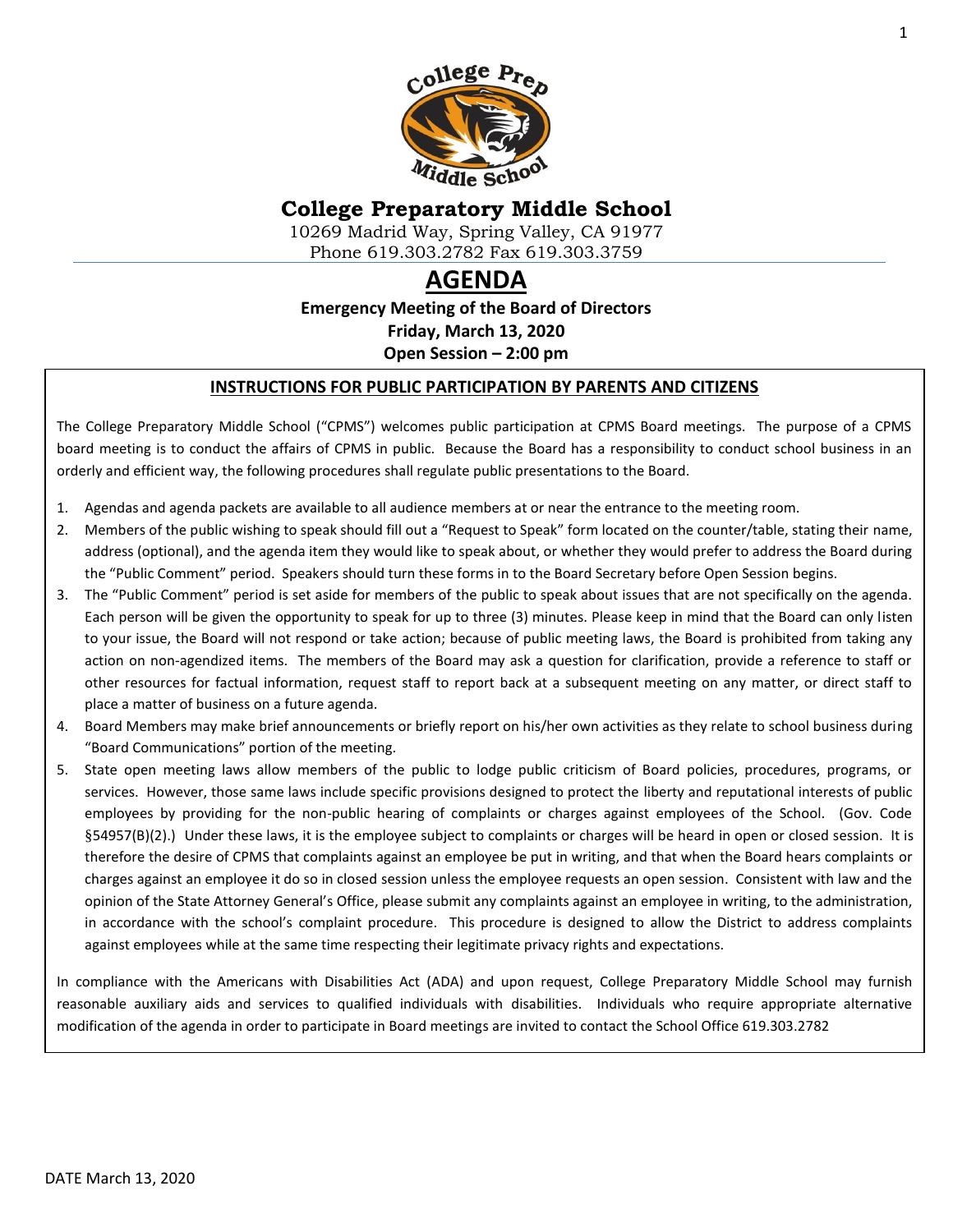

## **College Preparatory Middle School**

10269 Madrid Way, Spring Valley, CA 91977 Phone 619.303.2782 Fax 619.303.3759

# **AGENDA**

**Emergency Meeting of the Board of Directors Friday, March 13, 2020 Open Session – 2:00 pm**

#### **INSTRUCTIONS FOR PUBLIC PARTICIPATION BY PARENTS AND CITIZENS**

The College Preparatory Middle School ("CPMS") welcomes public participation at CPMS Board meetings. The purpose of a CPMS board meeting is to conduct the affairs of CPMS in public. Because the Board has a responsibility to conduct school business in an orderly and efficient way, the following procedures shall regulate public presentations to the Board.

- 1. Agendas and agenda packets are available to all audience members at or near the entrance to the meeting room.
- 2. Members of the public wishing to speak should fill out a "Request to Speak" form located on the counter/table, stating their name, address (optional), and the agenda item they would like to speak about, or whether they would prefer to address the Board during the "Public Comment" period. Speakers should turn these forms in to the Board Secretary before Open Session begins.
- 3. The "Public Comment" period is set aside for members of the public to speak about issues that are not specifically on the agenda. Each person will be given the opportunity to speak for up to three (3) minutes. Please keep in mind that the Board can only listen to your issue, the Board will not respond or take action; because of public meeting laws, the Board is prohibited from taking any action on non-agendized items. The members of the Board may ask a question for clarification, provide a reference to staff or other resources for factual information, request staff to report back at a subsequent meeting on any matter, or direct staff to place a matter of business on a future agenda.
- 4. Board Members may make brief announcements or briefly report on his/her own activities as they relate to school business during "Board Communications" portion of the meeting.
- 5. State open meeting laws allow members of the public to lodge public criticism of Board policies, procedures, programs, or services. However, those same laws include specific provisions designed to protect the liberty and reputational interests of public employees by providing for the non-public hearing of complaints or charges against employees of the School. (Gov. Code §54957(B)(2).) Under these laws, it is the employee subject to complaints or charges will be heard in open or closed session. It is therefore the desire of CPMS that complaints against an employee be put in writing, and that when the Board hears complaints or charges against an employee it do so in closed session unless the employee requests an open session. Consistent with law and the opinion of the State Attorney General's Office, please submit any complaints against an employee in writing, to the administration, in accordance with the school's complaint procedure. This procedure is designed to allow the District to address complaints against employees while at the same time respecting their legitimate privacy rights and expectations.

In compliance with the Americans with Disabilities Act (ADA) and upon request, College Preparatory Middle School may furnish reasonable auxiliary aids and services to qualified individuals with disabilities. Individuals who require appropriate alternative modification of the agenda in order to participate in Board meetings are invited to contact the School Office 619.303.2782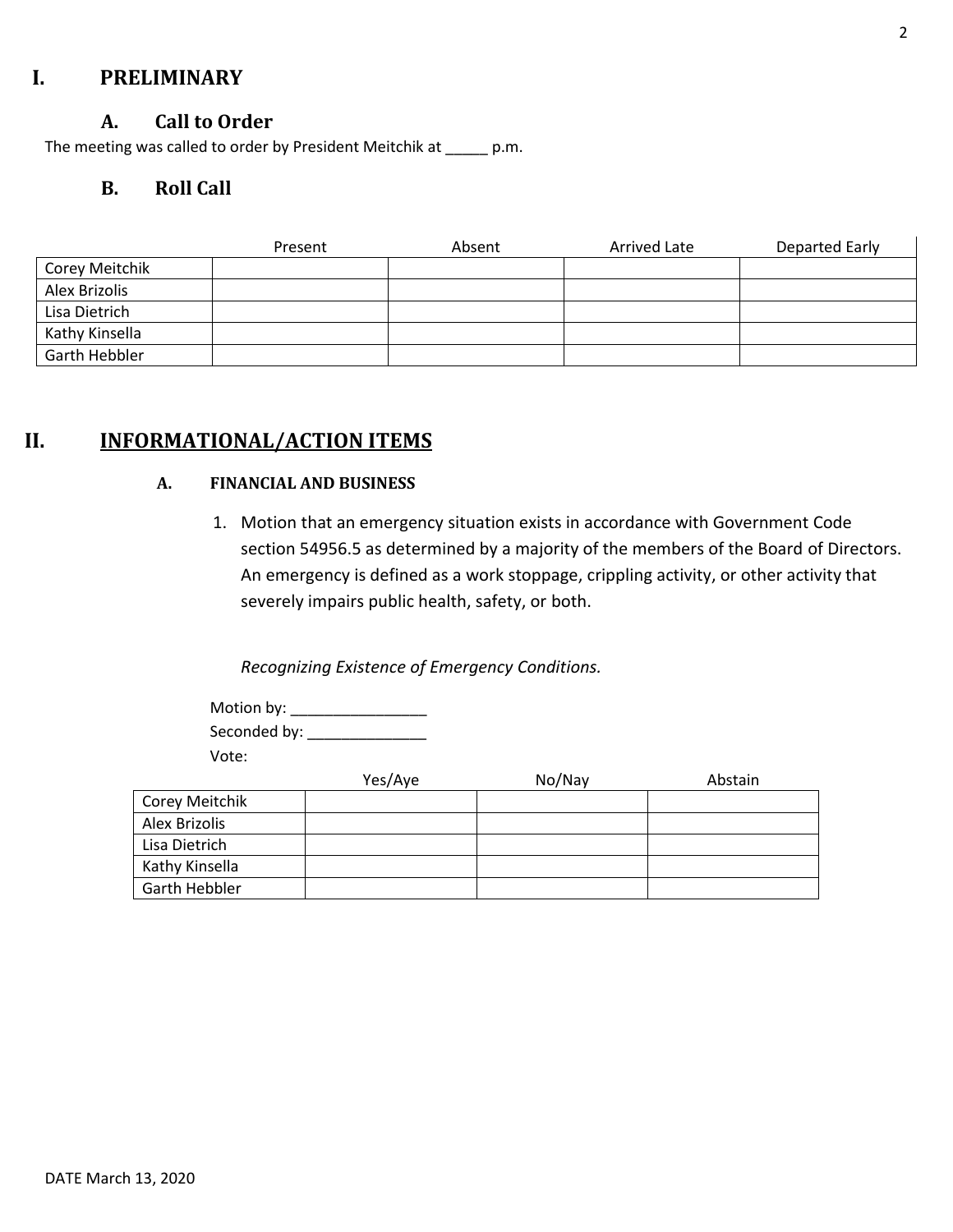## **I. PRELIMINARY**

#### **A. Call to Order**

The meeting was called to order by President Meitchik at \_\_\_\_\_ p.m.

## **B. Roll Call**

|                | Present | Absent | Arrived Late | Departed Early |
|----------------|---------|--------|--------------|----------------|
| Corey Meitchik |         |        |              |                |
| Alex Brizolis  |         |        |              |                |
| Lisa Dietrich  |         |        |              |                |
| Kathy Kinsella |         |        |              |                |
| Garth Hebbler  |         |        |              |                |

## **II. INFORMATIONAL/ACTION ITEMS**

#### **A. FINANCIAL AND BUSINESS**

1. Motion that an emergency situation exists in accordance with Government Code section 54956.5 as determined by a majority of the members of the Board of Directors. An emergency is defined as a work stoppage, crippling activity, or other activity that severely impairs public health, safety, or both.

*Recognizing Existence of Emergency Conditions.* 

Motion by: \_\_\_\_\_\_\_\_\_\_\_\_\_\_\_\_ Seconded by: \_\_\_\_\_\_\_\_\_\_\_\_\_\_ Vote:

|                | Yes/Aye | No/Nay | Abstain |
|----------------|---------|--------|---------|
| Corey Meitchik |         |        |         |
| Alex Brizolis  |         |        |         |
| Lisa Dietrich  |         |        |         |
| Kathy Kinsella |         |        |         |
| Garth Hebbler  |         |        |         |